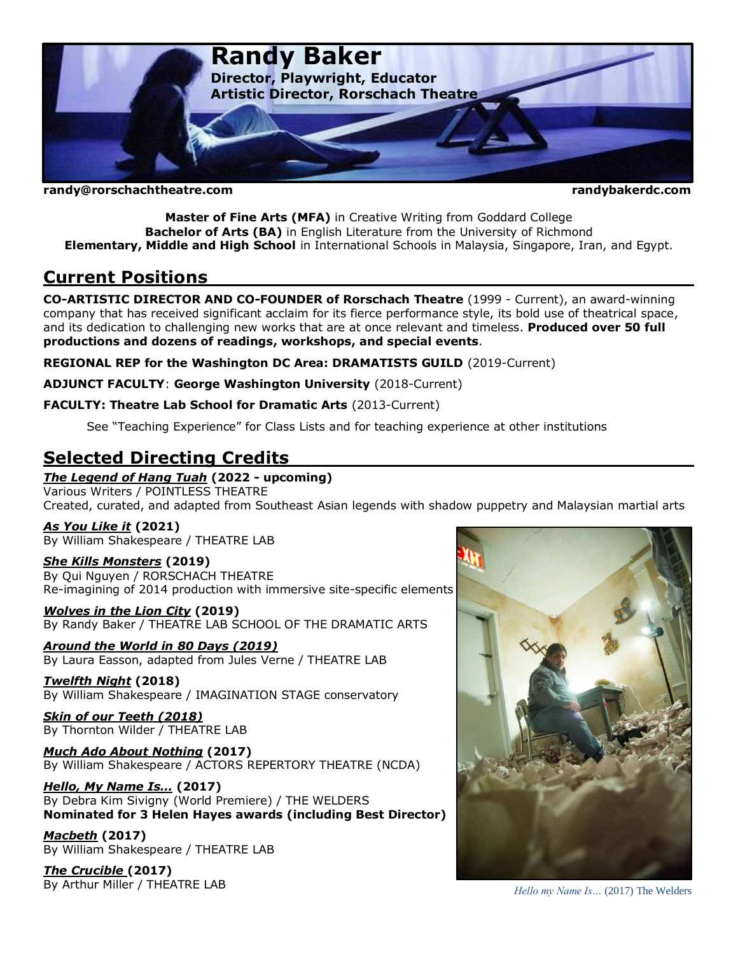

**randy@rorschachtheatre.com randybakerdc.com**

**Master of Fine Arts (MFA)** in Creative Writing from Goddard College **Bachelor of Arts (BA)** in English Literature from the University of Richmond **Elementary, Middle and High School** in International Schools in Malaysia, Singapore, Iran, and Egypt.

## **Current Positions**

**CO-ARTISTIC DIRECTOR AND CO-FOUNDER of Rorschach Theatre** (1999 - Current), an award-winning company that has received significant acclaim for its fierce performance style, its bold use of theatrical space, and its dedication to challenging new works that are at once relevant and timeless. **Produced over 50 full productions and dozens of readings, workshops, and special events**.

**REGIONAL REP for the Washington DC Area: DRAMATISTS GUILD** (2019-Current)

**ADJUNCT FACULTY**: **George Washington University** (2018-Current)

**FACULTY: Theatre Lab School for Dramatic Arts** (2013-Current)

See "Teaching Experience" for Class Lists and for teaching experience at other institutions

## **Selected Directing Credits**

*The Legend of Hang Tuah* **(2022 - upcoming)** Various Writers / POINTLESS THEATRE

Created, curated, and adapted from Southeast Asian legends with shadow puppetry and Malaysian martial arts

#### *As You Like it* **(2021)**

By William Shakespeare / THEATRE LAB

*She Kills Monsters* **(2019)** By Qui Nguyen / RORSCHACH THEATRE Re-imagining of 2014 production with immersive site-specific elements

*Wolves in the Lion City* **(2019)** By Randy Baker / THEATRE LAB SCHOOL OF THE DRAMATIC ARTS

*Around the World in 80 Days (2019)* By Laura Easson, adapted from Jules Verne / THEATRE LAB

### *Twelfth Night* **(2018)**

By William Shakespeare / IMAGINATION STAGE conservatory

#### *Skin of our Teeth (2018)* By Thornton Wilder / THEATRE LAB

*Much Ado About Nothing* **(2017)** By William Shakespeare / ACTORS REPERTORY THEATRE (NCDA)

#### *Hello, My Name Is…* **(2017)**

By Debra Kim Sivigny (World Premiere) / THE WELDERS **Nominated for 3 Helen Hayes awards (including Best Director)**

*Macbeth* **(2017)** By William Shakespeare / THEATRE LAB

*The Crucible* **(2017)** By Arthur Miller / THEATRE LAB



*Hello my Name Is…* (2017) The Welders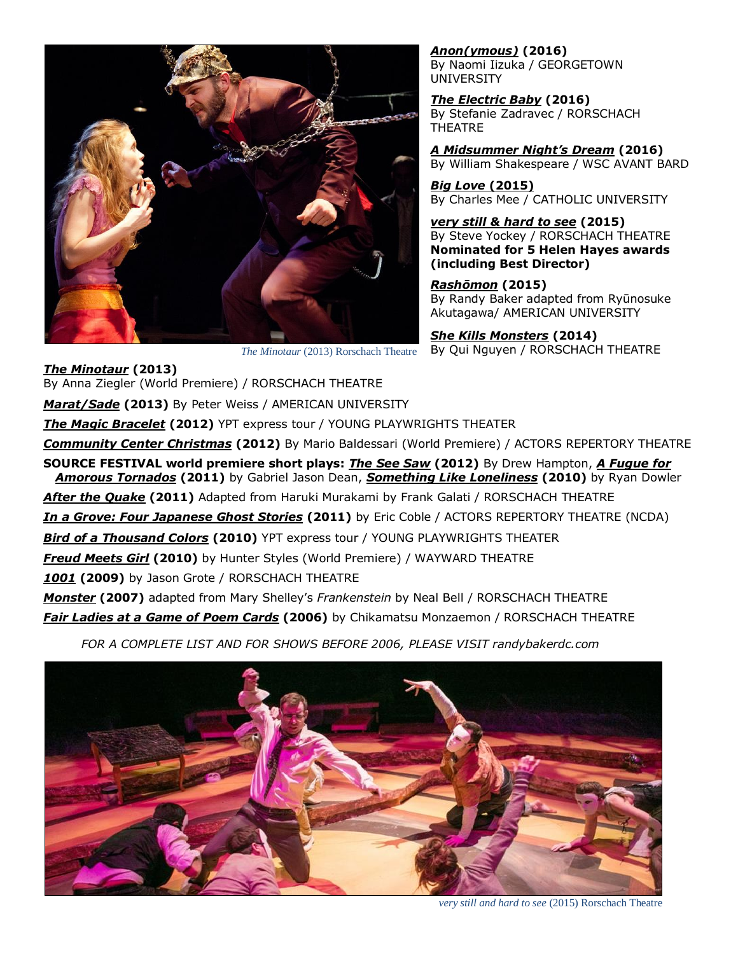

*Anon(ymous)* **(2016)**  By Naomi Iizuka / GEORGETOWN UNIVERSITY

*The Electric Baby* **(2016)**  By Stefanie Zadravec / RORSCHACH THEATRE

*A Midsummer Night's Dream* **(2016)** By William Shakespeare / WSC AVANT BARD

*Big Love* **(2015)** By Charles Mee / CATHOLIC UNIVERSITY

*very still & hard to see* **(2015)** By Steve Yockey / RORSCHACH THEATRE **Nominated for 5 Helen Hayes awards (including Best Director)**

*Rashōmon* **(2015)** By Randy Baker adapted from Ryūnosuke Akutagawa/ AMERICAN UNIVERSITY

*She Kills Monsters* **(2014)** By Qui Nguyen / RORSCHACH THEATRE

*The Minotaur* (2013) Rorschach Theatre

*Marat/Sade* **(2013)** By Peter Weiss / AMERICAN UNIVERSITY

By Anna Ziegler (World Premiere) / RORSCHACH THEATRE

*The Minotaur* **(2013)**

*The Magic Bracelet* **(2012)** YPT express tour / YOUNG PLAYWRIGHTS THEATER

*Community Center Christmas* **(2012)** By Mario Baldessari (World Premiere) / ACTORS REPERTORY THEATRE

**SOURCE FESTIVAL world premiere short plays:** *The See Saw* **(2012)** By Drew Hampton, *A Fugue for Amorous Tornados* **(2011)** by Gabriel Jason Dean, *Something Like Loneliness* **(2010)** by Ryan Dowler *After the Quake* **(2011)** Adapted from Haruki Murakami by Frank Galati / RORSCHACH THEATRE *In a Grove: Four Japanese Ghost Stories* **(2011)** by Eric Coble / ACTORS REPERTORY THEATRE (NCDA) *Bird of a Thousand Colors* **(2010)** YPT express tour / YOUNG PLAYWRIGHTS THEATER *Freud Meets Girl* **(2010)** by Hunter Styles (World Premiere) / WAYWARD THEATRE *1001* **(2009)** by Jason Grote / RORSCHACH THEATRE *Monster* **(2007)** adapted from Mary Shelley's *Frankenstein* by Neal Bell / RORSCHACH THEATRE

*Fair Ladies at a Game of Poem Cards* **(2006)** by Chikamatsu Monzaemon / RORSCHACH THEATRE

*FOR A COMPLETE LIST AND FOR SHOWS BEFORE 2006, PLEASE VISIT randybakerdc.com* 



*very still and hard to see* (2015) Rorschach Theatre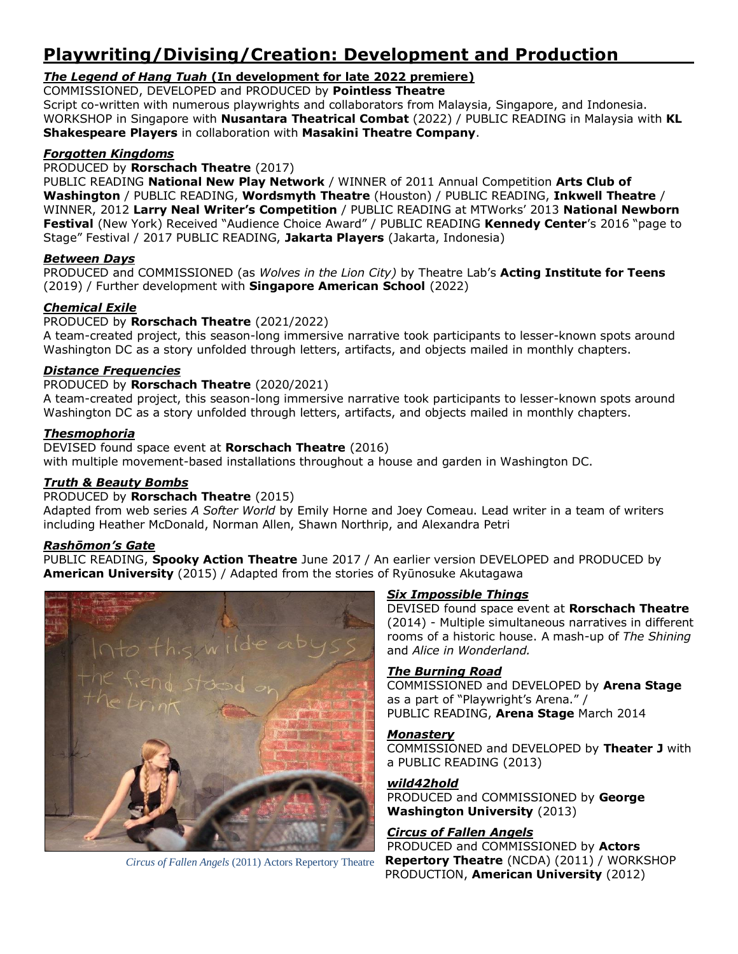# **Playwriting/Divising/Creation: Development and Production**

#### *The Legend of Hang Tuah* **(In development for late 2022 premiere)**

COMMISSIONED, DEVELOPED and PRODUCED by **Pointless Theatre**

Script co-written with numerous playwrights and collaborators from Malaysia, Singapore, and Indonesia. WORKSHOP in Singapore with **Nusantara Theatrical Combat** (2022) / PUBLIC READING in Malaysia with **KL Shakespeare Players** in collaboration with **Masakini Theatre Company**.

#### *Forgotten Kingdoms*

#### PRODUCED by **Rorschach Theatre** (2017)

PUBLIC READING **National New Play Network** / WINNER of 2011 Annual Competition **Arts Club of Washington** / PUBLIC READING, **Wordsmyth Theatre** (Houston) / PUBLIC READING, **Inkwell Theatre** / WINNER, 2012 **Larry Neal Writer's Competition** / PUBLIC READING at MTWorks' 2013 **National Newborn Festival** (New York) Received "Audience Choice Award" / PUBLIC READING **Kennedy Center**'s 2016 "page to Stage" Festival / 2017 PUBLIC READING, **Jakarta Players** (Jakarta, Indonesia)

#### *Between Days*

PRODUCED and COMMISSIONED (as *Wolves in the Lion City)* by Theatre Lab's **Acting Institute for Teens**  (2019) / Further development with **Singapore American School** (2022)

#### *Chemical Exile*

#### PRODUCED by **Rorschach Theatre** (2021/2022)

A team-created project, this season-long immersive narrative took participants to lesser-known spots around Washington DC as a story unfolded through letters, artifacts, and objects mailed in monthly chapters.

#### *Distance Frequencies*

#### PRODUCED by **Rorschach Theatre** (2020/2021)

A team-created project, this season-long immersive narrative took participants to lesser-known spots around Washington DC as a story unfolded through letters, artifacts, and objects mailed in monthly chapters.

#### *Thesmophoria*

#### DEVISED found space event at **Rorschach Theatre** (2016)

with multiple movement-based installations throughout a house and garden in Washington DC.

#### *Truth & Beauty Bombs*

#### PRODUCED by **Rorschach Theatre** (2015)

Adapted from web series *A Softer World* by Emily Horne and Joey Comeau. Lead writer in a team of writers including Heather McDonald, Norman Allen, Shawn Northrip, and Alexandra Petri

#### *Rashōmon's Gate*

PUBLIC READING, **Spooky Action Theatre** June 2017 / An earlier version DEVELOPED and PRODUCED by **American University** (2015) / Adapted from the stories of Ryūnosuke Akutagawa



*Circus of Fallen Angels* (2011) Actors Repertory Theatre

#### *Six Impossible Things*

DEVISED found space event at **Rorschach Theatre** (2014) - Multiple simultaneous narratives in different rooms of a historic house. A mash-up of *The Shining*  and *Alice in Wonderland.*

#### *The Burning Road*

COMMISSIONED and DEVELOPED by **Arena Stage** as a part of "Playwright's Arena." / PUBLIC READING, **Arena Stage** March 2014

#### *Monastery*

COMMISSIONED and DEVELOPED by **Theater J** with a PUBLIC READING (2013)

#### *wild42hold*

PRODUCED and COMMISSIONED by **George Washington University** (2013)

#### *Circus of Fallen Angels*

PRODUCED and COMMISSIONED by **Actors Repertory Theatre** (NCDA) (2011) / WORKSHOP PRODUCTION, **American University** (2012)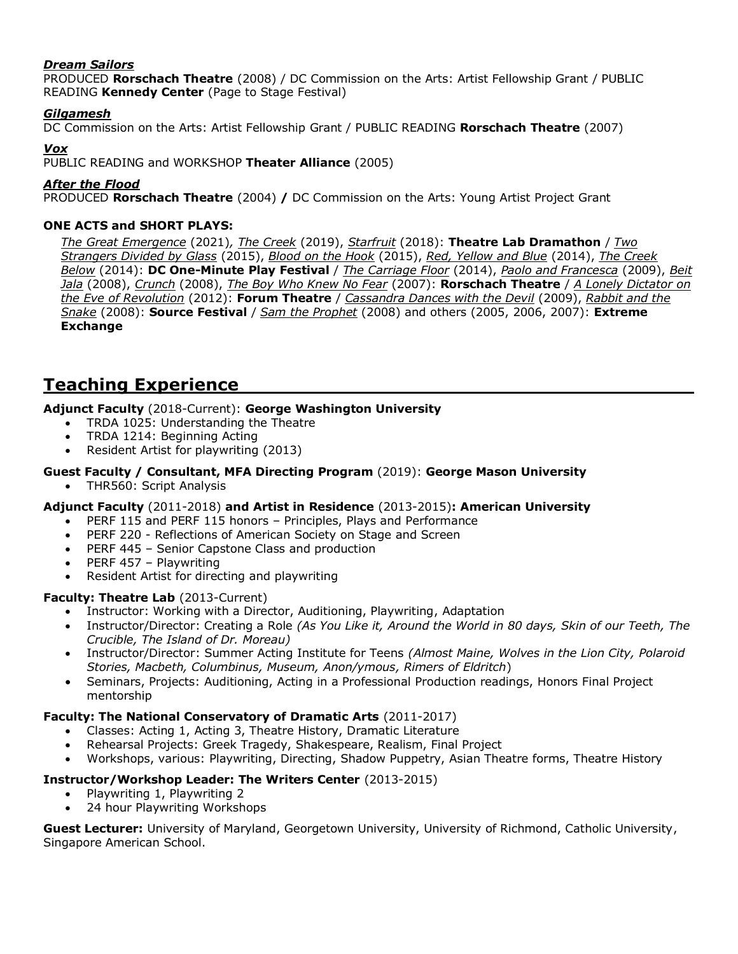#### *Dream Sailors*

PRODUCED **Rorschach Theatre** (2008) / DC Commission on the Arts: Artist Fellowship Grant / PUBLIC READING **Kennedy Center** (Page to Stage Festival)

#### *Gilgamesh*

DC Commission on the Arts: Artist Fellowship Grant / PUBLIC READING **Rorschach Theatre** (2007)

#### *Vox*

PUBLIC READING and WORKSHOP **Theater Alliance** (2005)

#### *After the Flood*

PRODUCED **Rorschach Theatre** (2004) **/** DC Commission on the Arts: Young Artist Project Grant

#### **ONE ACTS and SHORT PLAYS:**

*The Great Emergence* (2021)*, The Creek* (2019), *Starfruit* (2018): **Theatre Lab Dramathon** / *Two Strangers Divided by Glass* (2015), *Blood on the Hook* (2015), *Red, Yellow and Blue* (2014), *The Creek Below* (2014): **DC One-Minute Play Festival** / *The Carriage Floor* (2014), *Paolo and Francesca* (2009), *Beit Jala* (2008), *Crunch* (2008), *The Boy Who Knew No Fear* (2007): **Rorschach Theatre** / *A Lonely Dictator on the Eve of Revolution* (2012): **Forum Theatre** / *Cassandra Dances with the Devil* (2009), *Rabbit and the Snake* (2008): **Source Festival** / *Sam the Prophet* (2008) and others (2005, 2006, 2007): **Extreme Exchange**

### **Teaching Experience**

#### **Adjunct Faculty** (2018-Current): **George Washington University**

- TRDA 1025: Understanding the Theatre
- TRDA 1214: Beginning Acting
- Resident Artist for playwriting (2013)

#### **Guest Faculty / Consultant, MFA Directing Program** (2019): **George Mason University**

• THR560: Script Analysis

#### **Adjunct Faculty** (2011-2018) **and Artist in Residence** (2013-2015)**: American University**

- PERF 115 and PERF 115 honors Principles, Plays and Performance
- PERF 220 Reflections of American Society on Stage and Screen
- PERF 445 Senior Capstone Class and production
- PERF 457 Playwriting
- Resident Artist for directing and playwriting

#### **Faculty: Theatre Lab** (2013-Current)

- Instructor: Working with a Director, Auditioning, Playwriting, Adaptation
- Instructor/Director: Creating a Role *(As You Like it, Around the World in 80 days, Skin of our Teeth, The Crucible, The Island of Dr. Moreau)*
- Instructor/Director: Summer Acting Institute for Teens *(Almost Maine, Wolves in the Lion City, Polaroid Stories, Macbeth, Columbinus, Museum, Anon/ymous, Rimers of Eldritch*)
- Seminars, Projects: Auditioning, Acting in a Professional Production readings, Honors Final Project mentorship

#### **Faculty: The National Conservatory of Dramatic Arts** (2011-2017)

- Classes: Acting 1, Acting 3, Theatre History, Dramatic Literature
- Rehearsal Projects: Greek Tragedy, Shakespeare, Realism, Final Project
- Workshops, various: Playwriting, Directing, Shadow Puppetry, Asian Theatre forms, Theatre History

#### **Instructor/Workshop Leader: The Writers Center** (2013-2015)

- Playwriting 1, Playwriting 2
- 24 hour Playwriting Workshops

**Guest Lecturer:** University of Maryland, Georgetown University, University of Richmond, Catholic University, Singapore American School.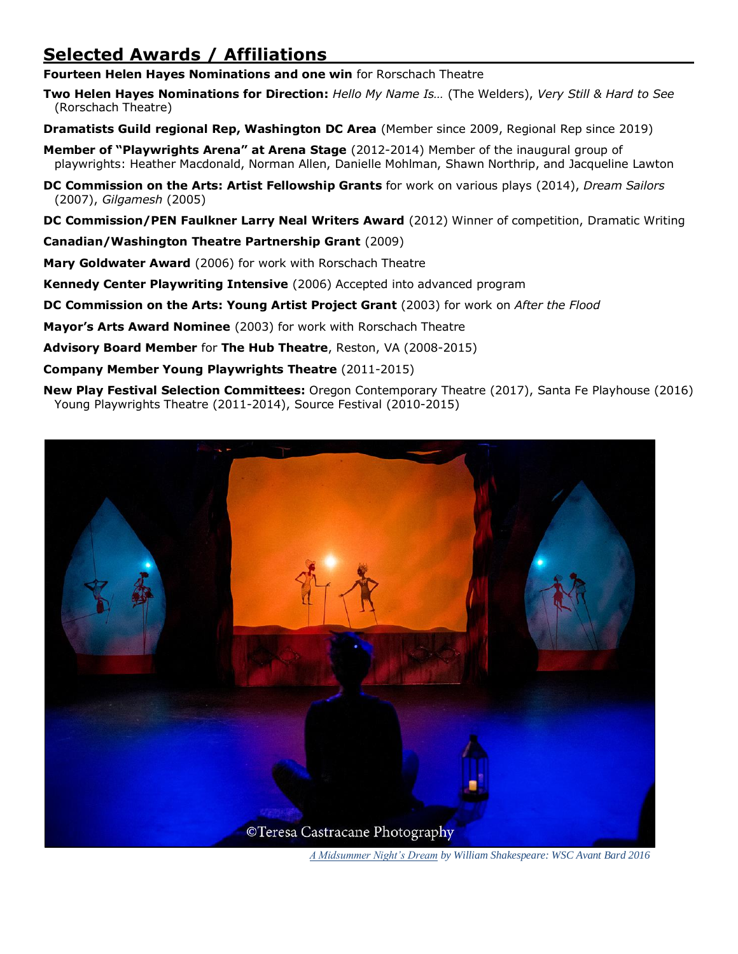# **Selected Awards / Affiliations**

**Fourteen Helen Hayes Nominations and one win** for Rorschach Theatre

**Two Helen Hayes Nominations for Direction:** *Hello My Name Is…* (The Welders), *Very Still & Hard to See* (Rorschach Theatre)

**Dramatists Guild regional Rep, Washington DC Area** (Member since 2009, Regional Rep since 2019)

**Member of "Playwrights Arena" at Arena Stage** (2012-2014) Member of the inaugural group of playwrights: Heather Macdonald, Norman Allen, Danielle Mohlman, Shawn Northrip, and Jacqueline Lawton

**DC Commission on the Arts: Artist Fellowship Grants** for work on various plays (2014), *Dream Sailors*  (2007), *Gilgamesh* (2005)

**DC Commission/PEN Faulkner Larry Neal Writers Award** (2012) Winner of competition, Dramatic Writing

**Canadian/Washington Theatre Partnership Grant** (2009)

**Mary Goldwater Award** (2006) for work with Rorschach Theatre

**Kennedy Center Playwriting Intensive** (2006) Accepted into advanced program

**DC Commission on the Arts: Young Artist Project Grant** (2003) for work on *After the Flood*

**Mayor's Arts Award Nominee** (2003) for work with Rorschach Theatre

**Advisory Board Member** for **The Hub Theatre**, Reston, VA (2008-2015)

**Company Member Young Playwrights Theatre** (2011-2015)

**New Play Festival Selection Committees:** Oregon Contemporary Theatre (2017), Santa Fe Playhouse (2016) Young Playwrights Theatre (2011-2014), Source Festival (2010-2015)



 *A Midsummer Night's Dream by William Shakespeare: WSC Avant Bard 2016*